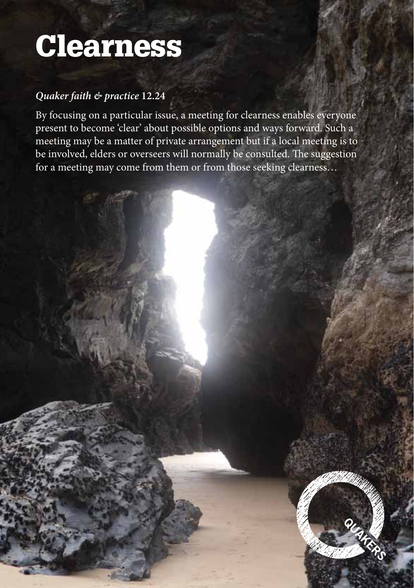# Clearness

#### *Quaker faith & practice* **12.24**

By focusing on a particular issue, a meeting for clearness enables everyone present to become 'clear' about possible options and ways forward. Such a meeting may be a matter of private arrangement but if a local meeting is to be involved, elders or overseers will normally be consulted. The suggestion for a meeting may come from them or from those seeking clearness…

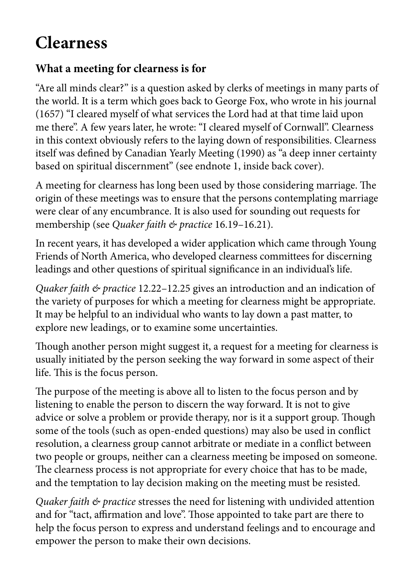# **Clearness**

#### **What a meeting for clearness is for**

"Are all minds clear?" is a question asked by clerks of meetings in many parts of the world. It is a term which goes back to George Fox, who wrote in his journal (1657) "I cleared myself of what services the Lord had at that time laid upon me there". A few years later, he wrote: "I cleared myself of Cornwall". Clearness in this context obviously refers to the laying down of responsibilities. Clearness itself was defined by Canadian Yearly Meeting (1990) as "a deep inner certainty based on spiritual discernment" (see endnote 1, inside back cover).

A meeting for clearness has long been used by those considering marriage. The origin of these meetings was to ensure that the persons contemplating marriage were clear of any encumbrance. It is also used for sounding out requests for membership (see *Quaker faith & practice* 16.19–16.21).

In recent years, it has developed a wider application which came through Young Friends of North America, who developed clearness committees for discerning leadings and other questions of spiritual significance in an individual's life.

*Quaker faith & practice* 12.22–12.25 gives an introduction and an indication of the variety of purposes for which a meeting for clearness might be appropriate. It may be helpful to an individual who wants to lay down a past matter, to explore new leadings, or to examine some uncertainties.

Though another person might suggest it, a request for a meeting for clearness is usually initiated by the person seeking the way forward in some aspect of their life. This is the focus person.

The purpose of the meeting is above all to listen to the focus person and by listening to enable the person to discern the way forward. It is not to give advice or solve a problem or provide therapy, nor is it a support group. Though some of the tools (such as open-ended questions) may also be used in conflict resolution, a clearness group cannot arbitrate or mediate in a conflict between two people or groups, neither can a clearness meeting be imposed on someone. The clearness process is not appropriate for every choice that has to be made, and the temptation to lay decision making on the meeting must be resisted.

*Quaker faith & practice* stresses the need for listening with undivided attention and for "tact, affirmation and love". Those appointed to take part are there to help the focus person to express and understand feelings and to encourage and empower the person to make their own decisions.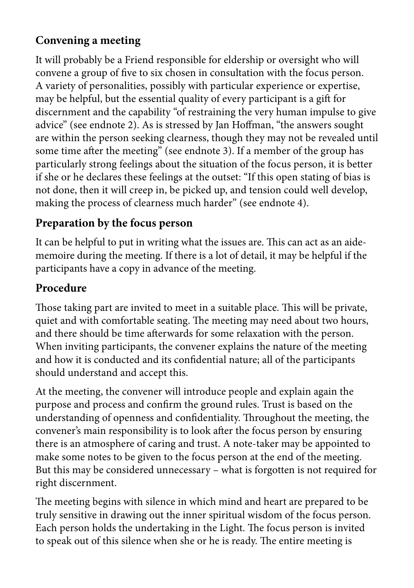# **Convening a meeting**

It will probably be a Friend responsible for eldership or oversight who will convene a group of five to six chosen in consultation with the focus person. A variety of personalities, possibly with particular experience or expertise, may be helpful, but the essential quality of every participant is a gift for discernment and the capability "of restraining the very human impulse to give advice" (see endnote 2). As is stressed by Jan Hoffman, "the answers sought are within the person seeking clearness, though they may not be revealed until some time after the meeting" (see endnote 3). If a member of the group has particularly strong feelings about the situation of the focus person, it is better if she or he declares these feelings at the outset: "If this open stating of bias is not done, then it will creep in, be picked up, and tension could well develop, making the process of clearness much harder" (see endnote 4).

# **Preparation by the focus person**

It can be helpful to put in writing what the issues are. This can act as an aidememoire during the meeting. If there is a lot of detail, it may be helpful if the participants have a copy in advance of the meeting.

# **Procedure**

Those taking part are invited to meet in a suitable place. This will be private, quiet and with comfortable seating. The meeting may need about two hours, and there should be time afterwards for some relaxation with the person. When inviting participants, the convener explains the nature of the meeting and how it is conducted and its confidential nature; all of the participants should understand and accept this.

At the meeting, the convener will introduce people and explain again the purpose and process and confirm the ground rules. Trust is based on the understanding of openness and confidentiality. Throughout the meeting, the convener's main responsibility is to look after the focus person by ensuring there is an atmosphere of caring and trust. A note-taker may be appointed to make some notes to be given to the focus person at the end of the meeting. But this may be considered unnecessary – what is forgotten is not required for right discernment.

The meeting begins with silence in which mind and heart are prepared to be truly sensitive in drawing out the inner spiritual wisdom of the focus person. Each person holds the undertaking in the Light. The focus person is invited to speak out of this silence when she or he is ready. The entire meeting is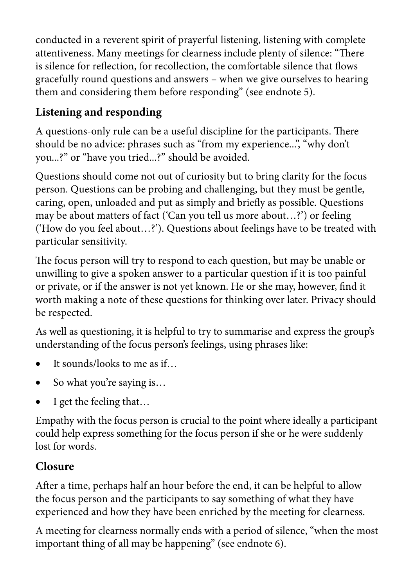conducted in a reverent spirit of prayerful listening, listening with complete attentiveness. Many meetings for clearness include plenty of silence: "There is silence for reflection, for recollection, the comfortable silence that flows gracefully round questions and answers – when we give ourselves to hearing them and considering them before responding" (see endnote 5).

# **Listening and responding**

A questions-only rule can be a useful discipline for the participants. There should be no advice: phrases such as "from my experience...", "why don't you...?" or "have you tried...?" should be avoided.

Questions should come not out of curiosity but to bring clarity for the focus person. Questions can be probing and challenging, but they must be gentle, caring, open, unloaded and put as simply and briefly as possible. Questions may be about matters of fact ('Can you tell us more about…?') or feeling ('How do you feel about…?'). Questions about feelings have to be treated with particular sensitivity.

The focus person will try to respond to each question, but may be unable or unwilling to give a spoken answer to a particular question if it is too painful or private, or if the answer is not yet known. He or she may, however, find it worth making a note of these questions for thinking over later. Privacy should be respected.

As well as questioning, it is helpful to try to summarise and express the group's understanding of the focus person's feelings, using phrases like:

- It sounds/looks to me as if...
- So what you're saying is...
- I get the feeling that...

Empathy with the focus person is crucial to the point where ideally a participant could help express something for the focus person if she or he were suddenly lost for words.

# **Closure**

After a time, perhaps half an hour before the end, it can be helpful to allow the focus person and the participants to say something of what they have experienced and how they have been enriched by the meeting for clearness.

A meeting for clearness normally ends with a period of silence, "when the most important thing of all may be happening" (see endnote 6).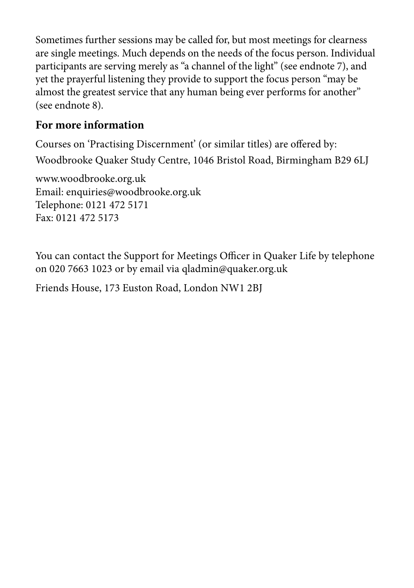Sometimes further sessions may be called for, but most meetings for clearness are single meetings. Much depends on the needs of the focus person. Individual participants are serving merely as "a channel of the light" (see endnote 7), and yet the prayerful listening they provide to support the focus person "may be almost the greatest service that any human being ever performs for another" (see endnote 8).

#### **For more information**

Courses on 'Practising Discernment' (or similar titles) are offered by: Woodbrooke Quaker Study Centre, 1046 Bristol Road, Birmingham B29 6LJ

www.woodbrooke.org.uk Email: enquiries@woodbrooke.org.uk Telephone: 0121 472 5171 Fax: 0121 472 5173

You can contact the Support for Meetings Officer in Quaker Life by telephone on 020 7663 1023 or by email via qladmin@quaker.org.uk

Friends House, 173 Euston Road, London NW1 2BJ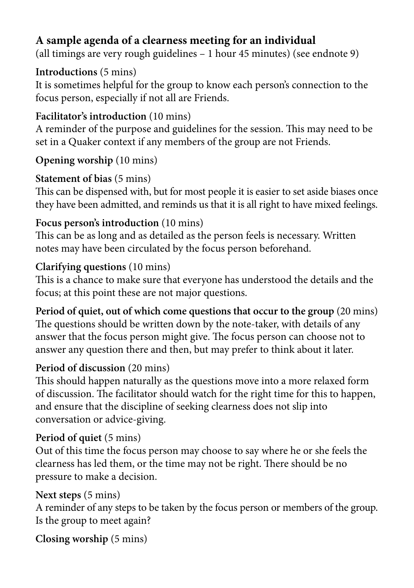### **A sample agenda of a clearness meeting for an individual**

(all timings are very rough guidelines – 1 hour 45 minutes) (see endnote 9)

#### **Introductions** (5 mins)

It is sometimes helpful for the group to know each person's connection to the focus person, especially if not all are Friends.

#### **Facilitator's introduction** (10 mins)

A reminder of the purpose and guidelines for the session. This may need to be set in a Quaker context if any members of the group are not Friends.

#### **Opening worship** (10 mins)

#### **Statement of bias** (5 mins)

This can be dispensed with, but for most people it is easier to set aside biases once they have been admitted, and reminds us that it is all right to have mixed feelings.

#### **Focus person's introduction** (10 mins)

This can be as long and as detailed as the person feels is necessary. Written notes may have been circulated by the focus person beforehand.

#### **Clarifying questions** (10 mins)

This is a chance to make sure that everyone has understood the details and the focus; at this point these are not major questions.

**Period of quiet, out of which come questions that occur to the group** (20 mins) The questions should be written down by the note-taker, with details of any answer that the focus person might give. The focus person can choose not to answer any question there and then, but may prefer to think about it later.

#### **Period of discussion** (20 mins)

This should happen naturally as the questions move into a more relaxed form of discussion. The facilitator should watch for the right time for this to happen, and ensure that the discipline of seeking clearness does not slip into conversation or advice-giving.

#### **Period of quiet** (5 mins)

Out of this time the focus person may choose to say where he or she feels the clearness has led them, or the time may not be right. There should be no pressure to make a decision.

#### **Next steps** (5 mins)

A reminder of any steps to be taken by the focus person or members of the group. Is the group to meet again?

**Closing worship** (5 mins)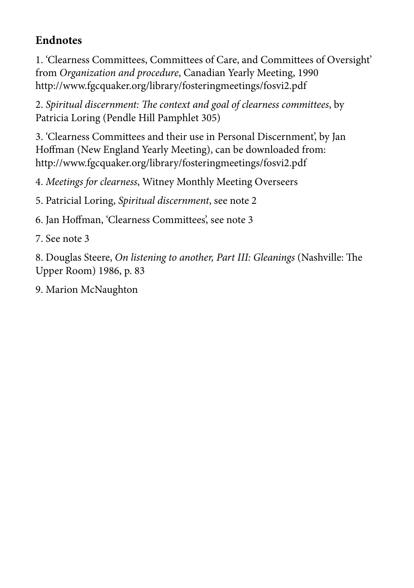# **Endnotes**

1. 'Clearness Committees, Committees of Care, and Committees of Oversight' from *Organization and procedure*, Canadian Yearly Meeting, 1990 http://www.fgcquaker.org/library/fosteringmeetings/fosvi2.pdf

2. *Spiritual discernment: The context and goal of clearness committees*, by Patricia Loring (Pendle Hill Pamphlet 305)

3. 'Clearness Committees and their use in Personal Discernment', by Jan Hoffman (New England Yearly Meeting), can be downloaded from: http://www.fgcquaker.org/library/fosteringmeetings/fosvi2.pdf

4. *Meetings for clearness*, Witney Monthly Meeting Overseers

5. Patricial Loring, *Spiritual discernment*, see note 2

6. Jan Hoffman, 'Clearness Committees', see note 3

7. See note 3

8. Douglas Steere, *On listening to another, Part III: Gleanings* (Nashville: The Upper Room) 1986, p. 83

9. Marion McNaughton